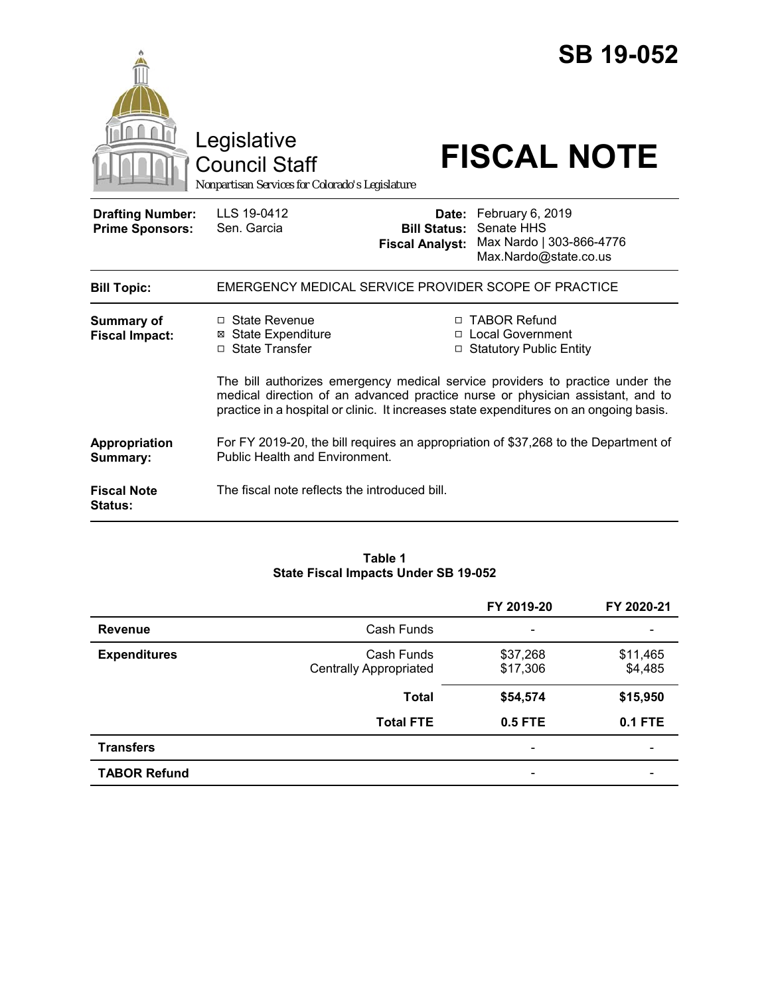|                                                   | Legislative<br><b>Council Staff</b><br>Nonpartisan Services for Colorado's Legislature                                                                                                                                                                    |                                                        | <b>SB 19-052</b><br><b>FISCAL NOTE</b>                                              |  |  |
|---------------------------------------------------|-----------------------------------------------------------------------------------------------------------------------------------------------------------------------------------------------------------------------------------------------------------|--------------------------------------------------------|-------------------------------------------------------------------------------------|--|--|
| <b>Drafting Number:</b><br><b>Prime Sponsors:</b> | LLS 19-0412<br>Sen. Garcia                                                                                                                                                                                                                                | Date:<br><b>Bill Status:</b><br><b>Fiscal Analyst:</b> | February 6, 2019<br>Senate HHS<br>Max Nardo   303-866-4776<br>Max.Nardo@state.co.us |  |  |
| <b>Bill Topic:</b>                                | EMERGENCY MEDICAL SERVICE PROVIDER SCOPE OF PRACTICE                                                                                                                                                                                                      |                                                        |                                                                                     |  |  |
| <b>Summary of</b><br><b>Fiscal Impact:</b>        | □ State Revenue<br>⊠ State Expenditure<br>□ State Transfer                                                                                                                                                                                                |                                                        | □ TABOR Refund<br>□ Local Government<br>□ Statutory Public Entity                   |  |  |
|                                                   | The bill authorizes emergency medical service providers to practice under the<br>medical direction of an advanced practice nurse or physician assistant, and to<br>practice in a hospital or clinic. It increases state expenditures on an ongoing basis. |                                                        |                                                                                     |  |  |
| Appropriation<br>Summary:                         | For FY 2019-20, the bill requires an appropriation of \$37,268 to the Department of<br><b>Public Health and Environment.</b>                                                                                                                              |                                                        |                                                                                     |  |  |
| <b>Fiscal Note</b><br><b>Status:</b>              | The fiscal note reflects the introduced bill.                                                                                                                                                                                                             |                                                        |                                                                                     |  |  |

### **Table 1 State Fiscal Impacts Under SB 19-052**

|                     |                                             | FY 2019-20                   | FY 2020-21          |
|---------------------|---------------------------------------------|------------------------------|---------------------|
| <b>Revenue</b>      | Cash Funds                                  | $\qquad \qquad \blacksquare$ |                     |
| <b>Expenditures</b> | Cash Funds<br><b>Centrally Appropriated</b> | \$37,268<br>\$17,306         | \$11,465<br>\$4,485 |
|                     | <b>Total</b>                                | \$54,574                     | \$15,950            |
|                     | <b>Total FTE</b>                            | 0.5 FTE                      | <b>0.1 FTE</b>      |
| <b>Transfers</b>    |                                             | $\overline{\phantom{a}}$     | -                   |
| <b>TABOR Refund</b> |                                             | $\qquad \qquad \blacksquare$ |                     |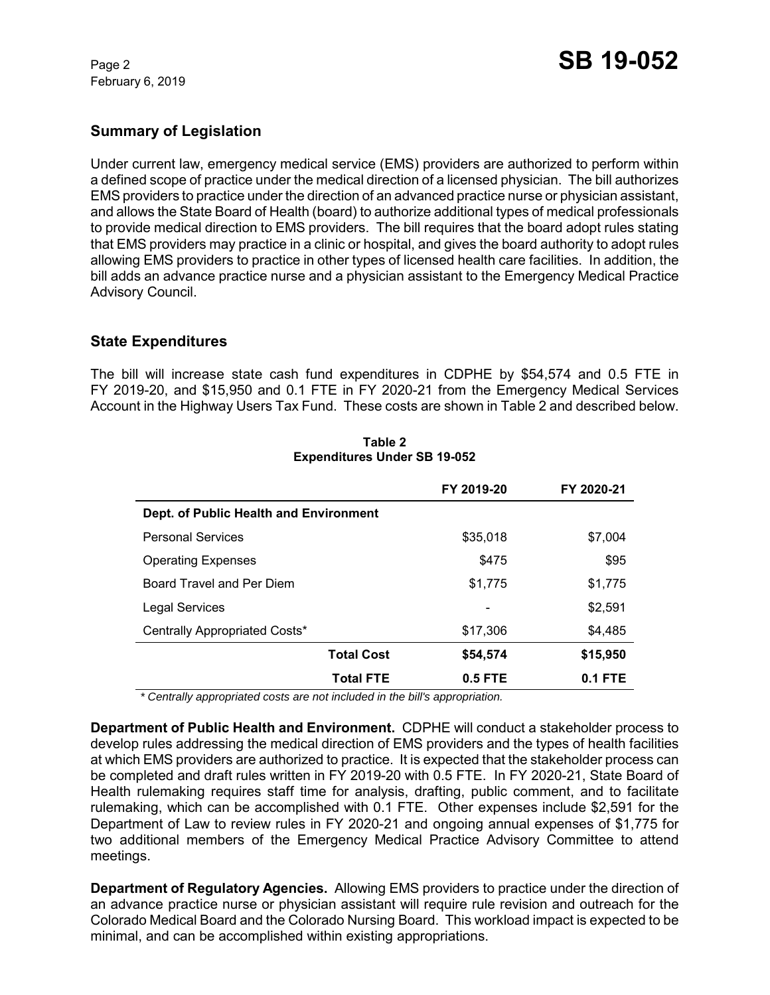February 6, 2019

# **Summary of Legislation**

Under current law, emergency medical service (EMS) providers are authorized to perform within a defined scope of practice under the medical direction of a licensed physician. The bill authorizes EMS providers to practice under the direction of an advanced practice nurse or physician assistant, and allows the State Board of Health (board) to authorize additional types of medical professionals to provide medical direction to EMS providers. The bill requires that the board adopt rules stating that EMS providers may practice in a clinic or hospital, and gives the board authority to adopt rules allowing EMS providers to practice in other types of licensed health care facilities. In addition, the bill adds an advance practice nurse and a physician assistant to the Emergency Medical Practice Advisory Council.

## **State Expenditures**

The bill will increase state cash fund expenditures in CDPHE by \$54,574 and 0.5 FTE in FY 2019-20, and \$15,950 and 0.1 FTE in FY 2020-21 from the Emergency Medical Services Account in the Highway Users Tax Fund. These costs are shown in Table 2 and described below.

|                                        | FY 2019-20 | FY 2020-21 |
|----------------------------------------|------------|------------|
| Dept. of Public Health and Environment |            |            |
| <b>Personal Services</b>               | \$35,018   | \$7,004    |
| <b>Operating Expenses</b>              | \$475      | \$95       |
| Board Travel and Per Diem              | \$1,775    | \$1,775    |
| <b>Legal Services</b>                  |            | \$2,591    |
| Centrally Appropriated Costs*          | \$17,306   | \$4,485    |
| <b>Total Cost</b>                      | \$54,574   | \$15,950   |
| <b>Total FTE</b>                       | 0.5 FTE    | $0.1$ FTE  |

**Table 2 Expenditures Under SB 19-052**

 *\* Centrally appropriated costs are not included in the bill's appropriation.*

**Department of Public Health and Environment.** CDPHE will conduct a stakeholder process to develop rules addressing the medical direction of EMS providers and the types of health facilities at which EMS providers are authorized to practice. It is expected that the stakeholder process can be completed and draft rules written in FY 2019-20 with 0.5 FTE. In FY 2020-21, State Board of Health rulemaking requires staff time for analysis, drafting, public comment, and to facilitate rulemaking, which can be accomplished with 0.1 FTE. Other expenses include \$2,591 for the Department of Law to review rules in FY 2020-21 and ongoing annual expenses of \$1,775 for two additional members of the Emergency Medical Practice Advisory Committee to attend meetings.

**Department of Regulatory Agencies.** Allowing EMS providers to practice under the direction of an advance practice nurse or physician assistant will require rule revision and outreach for the Colorado Medical Board and the Colorado Nursing Board. This workload impact is expected to be minimal, and can be accomplished within existing appropriations.